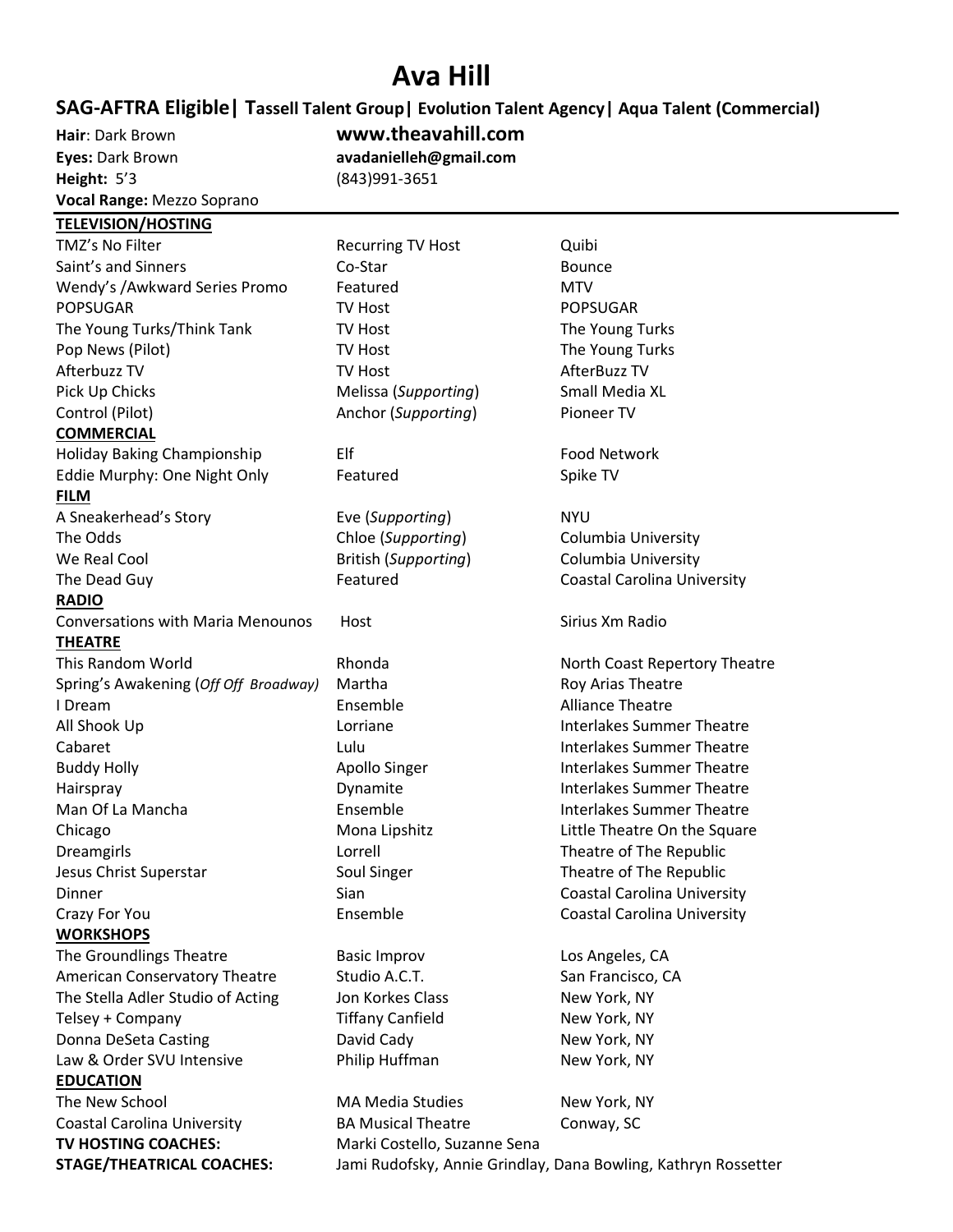## **Ava Hill**

## **SAG-AFTRA Eligible| Tassell Talent Group| Evolution Talent Agency| Aqua Talent (Commercial)**

**Hair**: Dark Brown **[www.theavahill.com](http://www.theavahill.com/) Eyes:** Dark Brown **[avadanielleh@gmail.com](mailto:avadanielleh@gmail.com) Height:** 5'3 (843)991-3651 **Vocal Range:** Mezzo Soprano

## **TELEVISION/HOSTING**

TMZ's No Filter **Recurring TV Host** Quibi Saint's and Sinners **Co-Star Communist Communist Communist Communist Communist Communist Communist Communist Communist Communist Communist Communist Bounce** Wendy's /Awkward Series Promo Featured MTV POPSUGAR TV Host POPSUGAR POPSUGAR The Young Turks/Think Tank TV Host TV Host The Young Turks Pop News (Pilot) **TV Host** TV Host The Young Turks Afterbuzz TV North Controller TV Host Controller AfterBuzz TV After Action After A Pick Up Chicks Melissa (*Supporting*) Small Media XL Control (Pilot) Anchor (*Supporting*) Pioneer TV **COMMERCIAL** Holiday Baking Championship Elf Elf Food Network Eddie Murphy: One Night Only Featured The Spike TV **FILM** A Sneakerhead's Story Eve (*Supporting*) NYU **RADIO** Conversations with Maria Menounos Host Sirius Xm Radio **THEATRE** Spring's Awakening (Off Off Broadway) Martha Roy Arias Theatre **I Dream Communist Communist Communist Communist Communist Communist Communist Communist Communist Communist Communist Communist Communist Communist Communist Communist Communist Communist Communist Communist Communist Com WORKSHOPS** The Groundlings Theatre The Basic Improv The Groundlings Theatre Basic Improv American Conservatory Theatre Studio A.C.T. San Francisco, CA The Stella Adler Studio of Acting Jon Korkes Class New York, NY Telsey + Company Tiffany Canfield New York, NY Donna DeSeta Casting The Casting David Cady New York, NY Law & Order SVU Intensive **No. 2018** Philip Huffman New York, NY **EDUCATION** The New School **MA Media Studies** New York, NY

**TV HOSTING COACHES:** Marki Costello, Suzanne Sena

The Odds Chloe (*Supporting*) Columbia University We Real Cool **British (Supporting)** Columbia University The Dead Guy The Dead Guy Featured Coastal Carolina University This Random World **Rhonda** Rhonda North Coast Repertory Theatre All Shook Up **Interlakes** Summer Theatre Interlakes Summer Theatre Cabaret Lulu Interlakes Summer Theatre Buddy Holly **Apollo Singer** Interlakes Summer Theatre **Interlakes** Summer Theatre Hairspray **Interlakes** Summer Theatre **Interlakes** Summer Theatre Man Of La Mancha **Interlakes** Ensemble **Interlakes Summer Theatre** Chicago Mona Lipshitz Little Theatre On the Square Dreamgirls Lorrell Theatre of The Republic Jesus Christ Superstar Theatre of The Republic Coul Singer Theatre of The Republic Dinner Sian Coastal Carolina University Crazy For You Ensemble Coastal Carolina University Coastal Carolina University **BA Musical Theatre** Conway, SC

**STAGE/THEATRICAL COACHES:** Jami Rudofsky, Annie Grindlay, Dana Bowling, Kathryn Rossetter